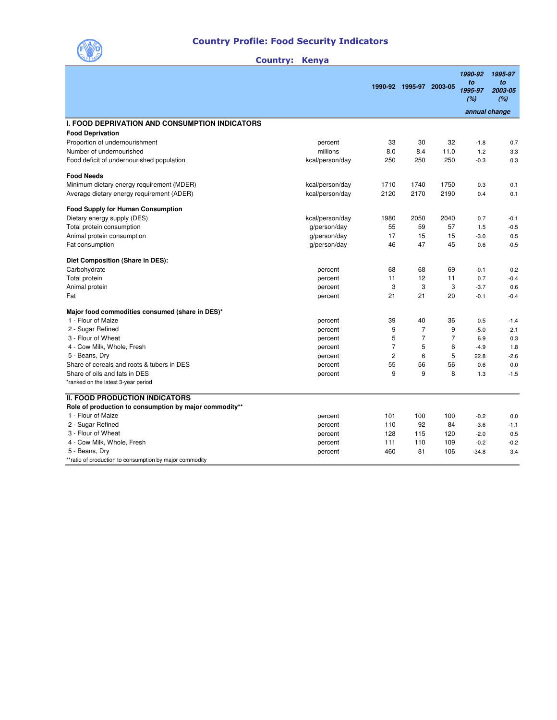

## Country Profile: Food Security Indicators

|                                                                              |                    |                | 1990-92 1995-97 2003-05 |                | 1990-92<br>to<br>1995-97<br>(%) | 1995-97<br>to<br>2003-05<br>(%) |
|------------------------------------------------------------------------------|--------------------|----------------|-------------------------|----------------|---------------------------------|---------------------------------|
|                                                                              |                    |                |                         |                | annual change                   |                                 |
| <b>I. FOOD DEPRIVATION AND CONSUMPTION INDICATORS</b>                        |                    |                |                         |                |                                 |                                 |
| <b>Food Deprivation</b>                                                      |                    |                |                         |                |                                 |                                 |
| Proportion of undernourishment                                               | percent            | 33             | 30                      | 32             | $-1.8$                          | 0.7                             |
| Number of undernourished                                                     | millions           | 8.0            | 8.4                     | 11.0           | 1.2                             | 3.3                             |
| Food deficit of undernourished population                                    | kcal/person/day    | 250            | 250                     | 250            | $-0.3$                          | 0.3                             |
| <b>Food Needs</b>                                                            |                    |                |                         |                |                                 |                                 |
| Minimum dietary energy requirement (MDER)                                    | kcal/person/day    | 1710           | 1740                    | 1750           | 0.3                             | 0.1                             |
| Average dietary energy requirement (ADER)                                    | kcal/person/day    | 2120           | 2170                    | 2190           | 0.4                             | 0.1                             |
| <b>Food Supply for Human Consumption</b>                                     |                    |                |                         |                |                                 |                                 |
| Dietary energy supply (DES)                                                  | kcal/person/day    | 1980           | 2050                    | 2040           | 0.7                             | $-0.1$                          |
| Total protein consumption                                                    | g/person/day       | 55             | 59                      | 57             | 1.5                             | $-0.5$                          |
| Animal protein consumption                                                   | g/person/day       | 17             | 15                      | 15             | $-3.0$                          | 0.5                             |
| Fat consumption                                                              | g/person/day       | 46             | 47                      | 45             | 0.6                             | $-0.5$                          |
| Diet Composition (Share in DES):                                             |                    |                |                         |                |                                 |                                 |
| Carbohydrate                                                                 | percent            | 68             | 68                      | 69             | $-0.1$                          | 0.2                             |
| Total protein                                                                | percent            | 11             | 12                      | 11             | 0.7                             | $-0.4$                          |
| Animal protein                                                               | percent            | 3              | 3                       | 3              | $-3.7$                          | 0.6                             |
| Fat                                                                          | percent            | 21             | 21                      | 20             | $-0.1$                          | $-0.4$                          |
| Major food commodities consumed (share in DES)*                              |                    |                |                         |                |                                 |                                 |
| 1 - Flour of Maize                                                           | percent            | 39             | 40                      | 36             | 0.5                             | $-1.4$                          |
| 2 - Sugar Refined                                                            | percent            | 9              | $\overline{7}$          | 9              | $-5.0$                          | 2.1                             |
| 3 - Flour of Wheat                                                           | percent            | 5              | $\overline{7}$          | $\overline{7}$ | 6.9                             | 0.3                             |
| 4 - Cow Milk, Whole, Fresh                                                   | percent            | $\overline{7}$ | 5                       | 6              | $-4.9$                          | 1.8                             |
| 5 - Beans, Dry                                                               | percent            | $\overline{c}$ | 6                       | 5              | 22.8                            | $-2.6$                          |
| Share of cereals and roots & tubers in DES                                   | percent            | 55             | 56                      | 56             | 0.6                             | 0.0                             |
| Share of oils and fats in DES<br>*ranked on the latest 3-year period         | percent            | 9              | 9                       | 8              | 1.3                             | $-1.5$                          |
|                                                                              |                    |                |                         |                |                                 |                                 |
| <b>II. FOOD PRODUCTION INDICATORS</b>                                        |                    |                |                         |                |                                 |                                 |
| Role of production to consumption by major commodity**<br>1 - Flour of Maize |                    | 101            | 100                     | 100            | $-0.2$                          | 0.0                             |
| 2 - Sugar Refined                                                            | percent<br>percent | 110            | 92                      | 84             | $-3.6$                          | $-1.1$                          |
| 3 - Flour of Wheat                                                           | percent            | 128            | 115                     | 120            | $-2.0$                          | 0.5                             |
| 4 - Cow Milk, Whole, Fresh                                                   | percent            | 111            | 110                     | 109            | $-0.2$                          | $-0.2$                          |
| 5 - Beans, Dry                                                               | percent            | 460            | 81                      | 106            | $-34.8$                         | 3.4                             |
| ** ratio of production to consumption by major commodity                     |                    |                |                         |                |                                 |                                 |

## Country: Kenya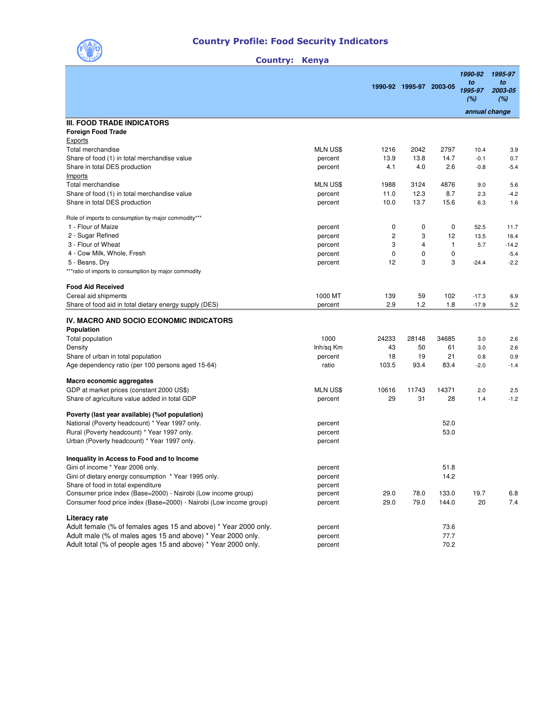

## Country Profile: Food Security Indicators

## Country: Kenya

|                                                                    |                 |                | 1990-92 1995-97 2003-05 |             | 1990-92<br>to<br>1995-97<br>(%) | 1995-97<br>to<br>2003-05<br>(%) |
|--------------------------------------------------------------------|-----------------|----------------|-------------------------|-------------|---------------------------------|---------------------------------|
|                                                                    |                 |                |                         |             | annual change                   |                                 |
| <b>III. FOOD TRADE INDICATORS</b>                                  |                 |                |                         |             |                                 |                                 |
| <b>Foreign Food Trade</b>                                          |                 |                |                         |             |                                 |                                 |
| Exports                                                            |                 |                |                         |             |                                 |                                 |
| Total merchandise                                                  | <b>MLN US\$</b> | 1216           | 2042                    | 2797        | 10.4                            | 3.9                             |
| Share of food (1) in total merchandise value                       | percent         | 13.9           | 13.8                    | 14.7        | $-0.1$                          | 0.7                             |
| Share in total DES production                                      | percent         | 4.1            | 4.0                     | 2.6         | $-0.8$                          | -5.4                            |
| Imports<br>Total merchandise                                       |                 |                |                         |             |                                 |                                 |
|                                                                    | MLN US\$        | 1988           | 3124                    | 4876        | 9.0                             | 5.6                             |
| Share of food (1) in total merchandise value                       | percent         | 11.0           | 12.3<br>13.7            | 8.7<br>15.6 | 2.3                             | $-4.2$                          |
| Share in total DES production                                      | percent         | 10.0           |                         |             | 6.3                             | 1.6                             |
| Role of imports to consumption by major commodity***               |                 |                |                         |             |                                 |                                 |
| 1 - Flour of Maize                                                 | percent         | 0              | 0                       | 0           | 52.5                            | 11.7                            |
| 2 - Sugar Refined                                                  | percent         | $\overline{c}$ | 3                       | 12          | 13.5                            | 16.4                            |
| 3 - Flour of Wheat                                                 | percent         | 3              | 4                       | 1           | 5.7                             | $-14.2$                         |
| 4 - Cow Milk, Whole, Fresh                                         | percent         | 0              | 0                       | 0           |                                 | $-5.4$                          |
| 5 - Beans, Dry                                                     | percent         | 12             | 3                       | 3           | $-24.4$                         | $-2.2$                          |
| ***ratio of imports to consumption by major commodity              |                 |                |                         |             |                                 |                                 |
| <b>Food Aid Received</b>                                           |                 |                |                         |             |                                 |                                 |
| Cereal aid shipments                                               | 1000 MT         | 139            | 59                      | 102         | $-17.3$                         | 6.9                             |
| Share of food aid in total dietary energy supply (DES)             | percent         | 2.9            | 1.2                     | 1.8         | $-17.9$                         | 5.2                             |
| IV. MACRO AND SOCIO ECONOMIC INDICATORS                            |                 |                |                         |             |                                 |                                 |
| Population                                                         |                 |                |                         |             |                                 |                                 |
| Total population                                                   | 1000            | 24233          | 28148                   | 34685       | 3.0                             | 2.6                             |
| Density                                                            | Inh/sq Km       | 43             | 50                      | 61          | 3.0                             | 2.6                             |
| Share of urban in total population                                 | percent         | 18             | 19                      | 21          | 0.8                             | 0.9                             |
| Age dependency ratio (per 100 persons aged 15-64)                  | ratio           | 103.5          | 93.4                    | 83.4        | $-2.0$                          | $-1.4$                          |
| Macro economic aggregates                                          |                 |                |                         |             |                                 |                                 |
| GDP at market prices (constant 2000 US\$)                          | <b>MLN US\$</b> | 10616          | 11743                   | 14371       | 2.0                             | 2.5                             |
| Share of agriculture value added in total GDP                      | percent         | 29             | 31                      | 28          | 1.4                             | $-1.2$                          |
|                                                                    |                 |                |                         |             |                                 |                                 |
| Poverty (last year available) (% of population)                    |                 |                |                         |             |                                 |                                 |
| National (Poverty headcount) * Year 1997 only.                     | percent         |                |                         | 52.0        |                                 |                                 |
| Rural (Poverty headcount) * Year 1997 only.                        | percent         |                |                         | 53.0        |                                 |                                 |
| Urban (Poverty headcount) * Year 1997 only.                        | percent         |                |                         |             |                                 |                                 |
| Inequality in Access to Food and to Income                         |                 |                |                         |             |                                 |                                 |
| Gini of income * Year 2006 only.                                   | percent         |                |                         | 51.8        |                                 |                                 |
| Gini of dietary energy consumption * Year 1995 only.               | percent         |                |                         | 14.2        |                                 |                                 |
| Share of food in total expenditure                                 | percent         |                |                         |             |                                 |                                 |
| Consumer price index (Base=2000) - Nairobi (Low income group)      | percent         | 29.0           | 78.0                    | 133.0       | 19.7                            | 6.8                             |
| Consumer food price index (Base=2000) - Nairobi (Low income group) | percent         | 29.0           | 79.0                    | 144.0       | 20                              | 7.4                             |
| Literacy rate                                                      |                 |                |                         |             |                                 |                                 |
| Adult female (% of females ages 15 and above) * Year 2000 only.    | percent         |                |                         | 73.6        |                                 |                                 |
| Adult male (% of males ages 15 and above) * Year 2000 only.        | percent         |                |                         | 77.7        |                                 |                                 |
| Adult total (% of people ages 15 and above) * Year 2000 only.      | percent         |                |                         | 70.2        |                                 |                                 |